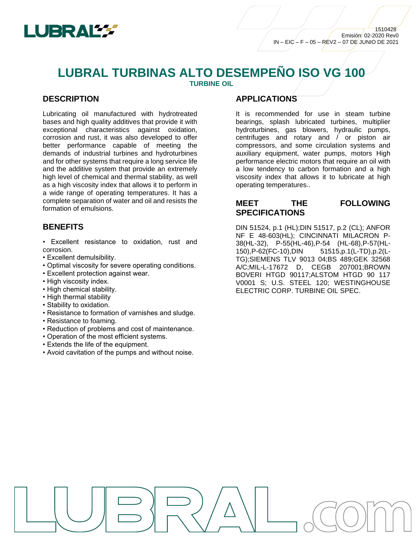

# **LUBRAL TURBINAS ALTO DESEMPEÑO ISO VG 100**

**TURBINE OIL**

### **DESCRIPTION**

Lubricating oil manufactured with hydrotreated bases and high quality additives that provide it with exceptional characteristics against oxidation, corrosion and rust, it was also developed to offer better performance capable of meeting the demands of industrial turbines and hydroturbines and for other systems that require a long service life and the additive system that provide an extremely high level of chemical and thermal stability, as well as a high viscosity index that allows it to perform in a wide range of operating temperatures. It has a complete separation of water and oil and resists the formation of emulsions.

#### **BENEFITS**

- Excellent resistance to oxidation, rust and corrosion.
- Excellent demulsibility.
- Optimal viscosity for severe operating conditions.
- Excellent protection against wear.
- High viscosity index.
- High chemical stability.
- High thermal stability
- Stability to oxidation.
- Resistance to formation of varnishes and sludge.
- Resistance to foaming.
- Reduction of problems and cost of maintenance.
- Operation of the most efficient systems.
- Extends the life of the equipment.
- Avoid cavitation of the pumps and without noise.

#### **APPLICATIONS**

It is recommended for use in steam turbine bearings, splash lubricated turbines, multiplier hydroturbines, gas blowers, hydraulic pumps, centrifuges and rotary and / or piston air compressors, and some circulation systems and auxiliary equipment, water pumps, motors High performance electric motors that require an oil with a low tendency to carbon formation and a high viscosity index that allows it to lubricate at high operating temperatures..

## **MEET THE FOLLOWING SPECIFICATIONS**

DIN 51524, p.1 (HL);DIN 51517, p.2 (CL); ANFOR NF E 48-603(HL); CINCINNATI MILACRON P-38(HL-32), P-55(HL-46),P-54 (HL-68),P-57(HL-150),P-62(FC-10),DIN 51515,p.1(L-TD),p.2(L-TG);SIEMENS TLV 9013 04;BS 489;GEK 32568 A/C;MIL-L-17672 D, CEGB 207001;BROWN BOVERI HTGD 90117;ALSTOM HTGD 90 117 V0001 S; U.S. STEEL 120; WESTINGHOUSE ELECTRIC CORP. TURBINE OIL SPEC.